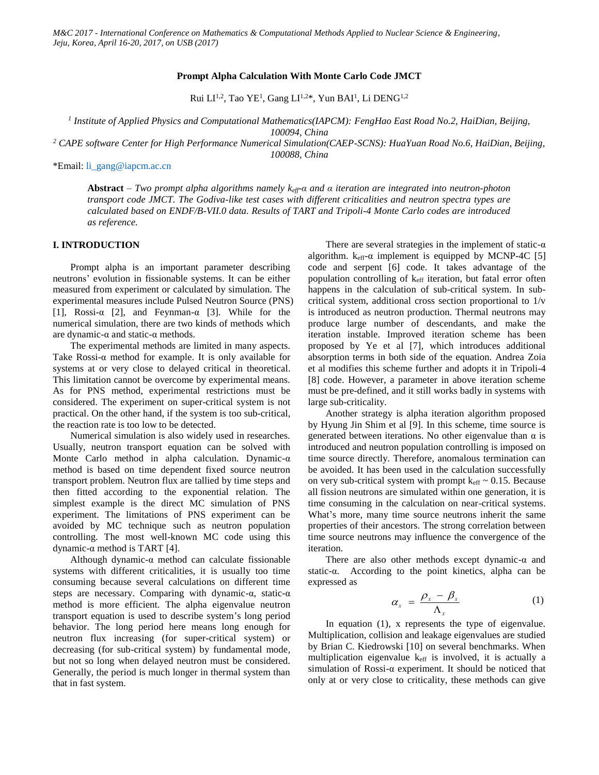# **Prompt Alpha Calculation With Monte Carlo Code JMCT**

Rui LI<sup>1,2</sup>, Tao YE<sup>1</sup>, Gang LI<sup>1,2\*</sup>, Yun BAI<sup>1</sup>, Li DENG<sup>1,2</sup>

*1 Institute of Applied Physics and Computational Mathematics(IAPCM): FengHao East Road No.2, HaiDian, Beijing, 100094, China*

*<sup>2</sup> CAPE software Center for High Performance Numerical Simulation(CAEP-SCNS): HuaYuan Road No.6, HaiDian, Beijing,* 

*100088, China*

\*Email: [li\\_gang@iapcm.ac.cn](mailto:li_gang@iapcm.ac.cn)

**Abstract** *– Two prompt alpha algorithms namely keff-α and α iteration are integrated into neutron-photon transport code JMCT. The Godiva-like test cases with different criticalities and neutron spectra types are calculated based on ENDF/B-VII.0 data. Results of TART and Tripoli-4 Monte Carlo codes are introduced as reference.*

### **I. INTRODUCTION**

Prompt alpha is an important parameter describing neutrons' evolution in fissionable systems. It can be either measured from experiment or calculated by simulation. The experimental measures include Pulsed Neutron Source (PNS) [1], Rossi- $\alpha$  [2], and Feynman- $\alpha$  [3]. While for the numerical simulation, there are two kinds of methods which are dynamic-α and static-α methods.

The experimental methods are limited in many aspects. Take Rossi-α method for example. It is only available for systems at or very close to delayed critical in theoretical. This limitation cannot be overcome by experimental means. As for PNS method, experimental restrictions must be considered. The experiment on super-critical system is not practical. On the other hand, if the system is too sub-critical, the reaction rate is too low to be detected.

Numerical simulation is also widely used in researches. Usually, neutron transport equation can be solved with Monte Carlo method in alpha calculation. Dynamic-α method is based on time dependent fixed source neutron transport problem. Neutron flux are tallied by time steps and then fitted according to the exponential relation. The simplest example is the direct MC simulation of PNS experiment. The limitations of PNS experiment can be avoided by MC technique such as neutron population controlling. The most well-known MC code using this dynamic-α method is TART [4].

Although dynamic-α method can calculate fissionable systems with different criticalities, it is usually too time consuming because several calculations on different time steps are necessary. Comparing with dynamic-α, static-α method is more efficient. The alpha eigenvalue neutron transport equation is used to describe system's long period behavior. The long period here means long enough for neutron flux increasing (for super-critical system) or decreasing (for sub-critical system) by fundamental mode, but not so long when delayed neutron must be considered. Generally, the period is much longer in thermal system than that in fast system.

There are several strategies in the implement of static- $\alpha$ algorithm.  $k_{\text{eff}}$ - $\alpha$  implement is equipped by MCNP-4C [5] code and serpent [6] code. It takes advantage of the population controlling of  $k<sub>eff</sub>$  iteration, but fatal error often happens in the calculation of sub-critical system. In subcritical system, additional cross section proportional to 1/v is introduced as neutron production. Thermal neutrons may produce large number of descendants, and make the iteration instable. Improved iteration scheme has been proposed by Ye et al [7], which introduces additional absorption terms in both side of the equation. Andrea Zoia et al modifies this scheme further and adopts it in Tripoli-4 [8] code. However, a parameter in above iteration scheme must be pre-defined, and it still works badly in systems with large sub-criticality.

Another strategy is alpha iteration algorithm proposed by Hyung Jin Shim et al [9]. In this scheme, time source is generated between iterations. No other eigenvalue than  $\alpha$  is introduced and neutron population controlling is imposed on time source directly. Therefore, anomalous termination can be avoided. It has been used in the calculation successfully on very sub-critical system with prompt  $k_{\text{eff}} \sim 0.15$ . Because all fission neutrons are simulated within one generation, it is time consuming in the calculation on near-critical systems. What's more, many time source neutrons inherit the same properties of their ancestors. The strong correlation between time source neutrons may influence the convergence of the iteration.

There are also other methods except dynamic- $\alpha$  and static-α. According to the point kinetics, alpha can be expressed as

$$
\alpha_{x} = \frac{\rho_{x} - \beta_{x}}{\Lambda_{x}}
$$
 (1)

In equation (1), x represents the type of eigenvalue. Multiplication, collision and leakage eigenvalues are studied by Brian C. Kiedrowski [10] on several benchmarks. When multiplication eigenvalue keff is involved, it is actually a simulation of Rossi-α experiment. It should be noticed that only at or very close to criticality, these methods can give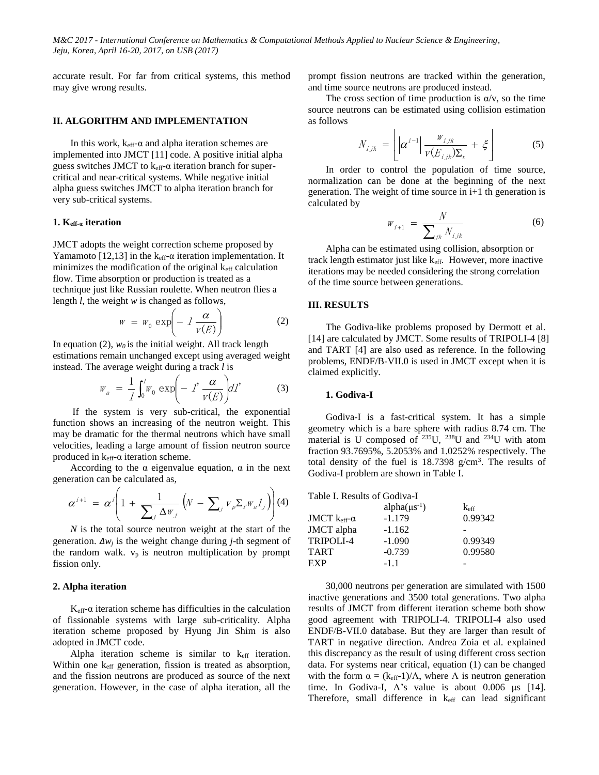accurate result. For far from critical systems, this method may give wrong results.

## **II. ALGORITHM AND IMPLEMENTATION**

In this work,  $k_{\text{eff}}$ - $\alpha$  and alpha iteration schemes are implemented into JMCT [11] code. A positive initial alpha guess switches JMCT to  $k_{\text{eff}}$ - $\alpha$  iteration branch for supercritical and near-critical systems. While negative initial alpha guess switches JMCT to alpha iteration branch for very sub-critical systems.

### **1. Keff-α iteration**

JMCT adopts the weight correction scheme proposed by Yamamoto [12,13] in the  $k<sub>eff</sub>$ - $\alpha$  iteration implementation. It minimizes the modification of the original  $k<sub>eff</sub>$  calculation flow. Time absorption or production is treated as a technique just like Russian roulette. When neutron flies a length *l*, the weight *w* is changed as follows,

$$
w = w_0 \exp\left(-l \frac{\alpha}{v(E)}\right) \tag{2}
$$

In equation  $(2)$ ,  $w_0$  is the initial weight. All track length estimations remain unchanged except using averaged weight instead. The average weight during a track *l* is

$$
W_a = \frac{1}{I} \int_0^I W_0 \exp\left(-\ I' \frac{\alpha}{v(E)}\right) dI' \tag{3}
$$

If the system is very sub-critical, the exponential function shows an increasing of the neutron weight. This may be dramatic for the thermal neutrons which have small velocities, leading a large amount of fission neutron source produced in  $k<sub>eff</sub>$ - $\alpha$  iteration scheme.

According to the  $\alpha$  eigenvalue equation,  $\alpha$  in the next generation can be calculated as,

$$
\alpha^{i+1} = \alpha^i \left( 1 + \frac{1}{\sum_j \Delta w_j} \left( N - \sum_j v_p \Sigma_j w_a I_j \right) \right) (4)
$$

*N* is the total source neutron weight at the start of the generation. *∆w<sup>j</sup>* is the weight change during *j*-th segment of the random walk.  $v_p$  is neutron multiplication by prompt fission only.

### **2. Alpha iteration**

 $K<sub>eff</sub>$ - $\alpha$  iteration scheme has difficulties in the calculation of fissionable systems with large sub-criticality. Alpha iteration scheme proposed by Hyung Jin Shim is also adopted in JMCT code.

Alpha iteration scheme is similar to  $k_{\text{eff}}$  iteration. Within one keff generation, fission is treated as absorption, and the fission neutrons are produced as source of the next generation. However, in the case of alpha iteration, all the prompt fission neutrons are tracked within the generation, and time source neutrons are produced instead.

The cross section of time production is  $\alpha/v$ , so the time source neutrons can be estimated using collision estimation as follows

$$
N_{ijk} = \left[ \left| \alpha^{i-1} \right| \frac{W_{ijk}}{V(E_{ijk})\Sigma_t} + \xi \right]
$$
 (5)

In order to control the population of time source, normalization can be done at the beginning of the next generation. The weight of time source in i+1 th generation is calculated by

$$
W_{i+1} = \frac{N}{\sum_{jk} N_{i,jk}} \tag{6}
$$

 $\mathbf{I}$ 

Alpha can be estimated using collision, absorption or track length estimator just like keff. However, more inactive iterations may be needed considering the strong correlation of the time source between generations.

## **III. RESULTS**

The Godiva-like problems proposed by Dermott et al. [14] are calculated by JMCT. Some results of TRIPOLI-4 [8] and TART [4] are also used as reference. In the following problems, ENDF/B-VII.0 is used in JMCT except when it is claimed explicitly.

### **1. Godiva-I**

Godiva-I is a fast-critical system. It has a simple geometry which is a bare sphere with radius 8.74 cm. The material is U composed of <sup>235</sup>U, <sup>238</sup>U and <sup>234</sup>U with atom fraction 93.7695%, 5.2053% and 1.0252% respectively. The total density of the fuel is  $18.7398$  g/cm<sup>3</sup>. The results of Godiva-I problem are shown in Table I.

| Table I. Results of Godiva-I |                  |
|------------------------------|------------------|
| alpha $(\mu s^{-1})$         | $k_{\text{eff}}$ |
| $-1.179$                     | 0.99342          |
| $-1.162$                     |                  |
| $-1.090$                     | 0.99349          |
| $-0.739$                     | 0.99580          |
| $-1.1$                       |                  |
|                              |                  |

30,000 neutrons per generation are simulated with 1500 inactive generations and 3500 total generations. Two alpha results of JMCT from different iteration scheme both show good agreement with TRIPOLI-4. TRIPOLI-4 also used ENDF/B-VII.0 database. But they are larger than result of TART in negative direction. Andrea Zoia et al. explained this discrepancy as the result of using different cross section data. For systems near critical, equation (1) can be changed with the form  $\alpha = (k_{eff}-1)/\Lambda$ , where  $\Lambda$  is neutron generation time. In Godiva-I,  $\Lambda$ 's value is about 0.006 μs [14]. Therefore, small difference in keff can lead significant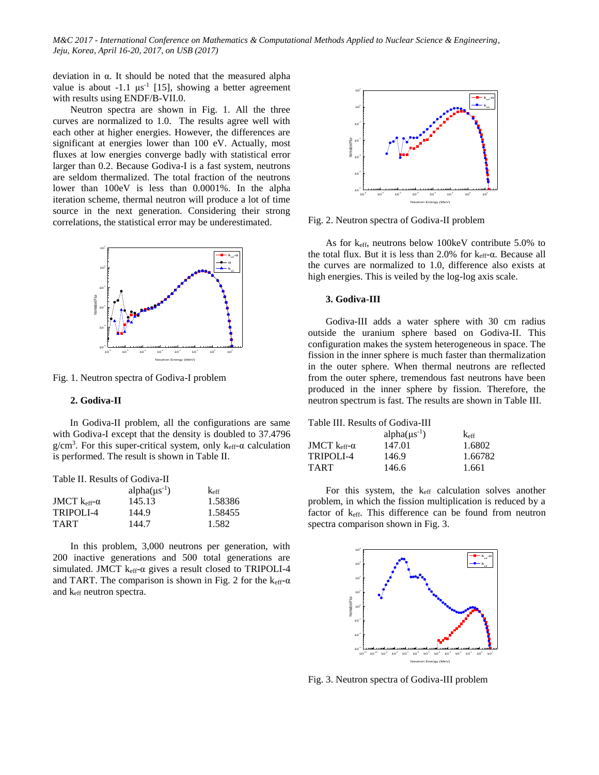deviation in α. It should be noted that the measured alpha value is about  $-1.1 \text{ }\mu\text{s}^{-1}$  [15], showing a better agreement with results using ENDF/B-VII.0.

Neutron spectra are shown in Fig. 1. All the three curves are normalized to 1.0. The results agree well with each other at higher energies. However, the differences are significant at energies lower than 100 eV. Actually, most fluxes at low energies converge badly with statistical error larger than 0.2. Because Godiva-I is a fast system, neutrons are seldom thermalized. The total fraction of the neutrons lower than 100eV is less than 0.0001%. In the alpha iteration scheme, thermal neutron will produce a lot of time source in the next generation. Considering their strong correlations, the statistical error may be underestimated.



Fig. 1. Neutron spectra of Godiva-I problem

#### **2. Godiva-II**

 In Godiva-II problem, all the configurations are same with Godiva-I except that the density is doubled to 37.4796  $g/cm<sup>3</sup>$ . For this super-critical system, only  $k<sub>eff</sub>$ - $\alpha$  calculation is performed. The result is shown in Table II.

| Table II. Results of Godiva-II |                     |                  |
|--------------------------------|---------------------|------------------|
|                                | $alpha(\mu s^{-1})$ | $k_{\text{eff}}$ |
| JMCT $k_{eff}$ - $\alpha$      | 145.13              | 1.58386          |
| TRIPOLI-4                      | 144.9               | 1.58455          |

TART 144.7 1.582

In this problem, 3,000 neutrons per generation, with 200 inactive generations and 500 total generations are simulated. JMCT keff-α gives a result closed to TRIPOLI-4 and TART. The comparison is shown in Fig. 2 for the  $k_{\text{eff}}\text{-}\alpha$ and keff neutron spectra.



Fig. 2. Neutron spectra of Godiva-II problem

As for keff, neutrons below 100keV contribute 5.0% to the total flux. But it is less than 2.0% for  $k_{eff}$ -α. Because all the curves are normalized to 1.0, difference also exists at high energies. This is veiled by the log-log axis scale.

#### **3. Godiva-III**

Godiva-III adds a water sphere with 30 cm radius outside the uranium sphere based on Godiva-II. This configuration makes the system heterogeneous in space. The fission in the inner sphere is much faster than thermalization in the outer sphere. When thermal neutrons are reflected from the outer sphere, tremendous fast neutrons have been produced in the inner sphere by fission. Therefore, the neutron spectrum is fast. The results are shown in Table III.

|                                  | Table III. Results of Godiva-III |                  |
|----------------------------------|----------------------------------|------------------|
|                                  | alpha $(\mu s^{-1})$             | $k_{\text{eff}}$ |
| JMCT $k_{\text{eff}}$ - $\alpha$ | 147.01                           | 1.6802           |
| TRIPOLI-4                        | 146.9                            | 1.66782          |
| <b>TART</b>                      | 146.6                            | 1.661            |

For this system, the keff calculation solves another problem, in which the fission multiplication is reduced by a factor of keff. This difference can be found from neutron spectra comparison shown in Fig. 3.



Fig. 3. Neutron spectra of Godiva-III problem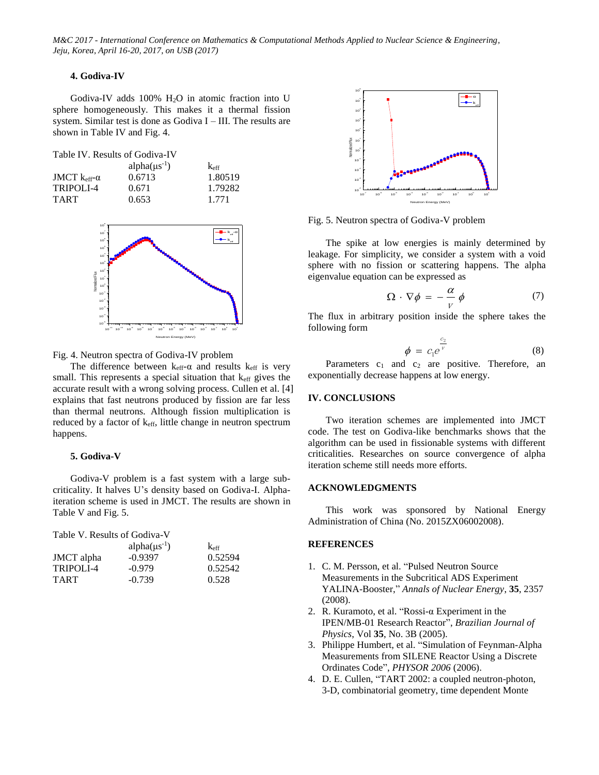# **4. Godiva-IV**

Godiva-IV adds  $100\%$  H<sub>2</sub>O in atomic fraction into U sphere homogeneously. This makes it a thermal fission system. Similar test is done as Godiva I – III. The results are shown in Table IV and Fig. 4.

| Table IV. Results of Godiva-IV |  |  |  |  |
|--------------------------------|--|--|--|--|
|                                |  |  |  |  |

|                                  | alpha $(\mu s^{-1})$ | $k_{\rm eff}$ |
|----------------------------------|----------------------|---------------|
| JMCT $k_{\text{eff}}$ - $\alpha$ | 0.6713               | 1.80519       |
| <b>TRIPOLI-4</b>                 | 0.671                | 1.79282       |
| <b>TART</b>                      | 0.653                | 1.771         |



Fig. 4. Neutron spectra of Godiva-IV problem

The difference between  $k_{eff} - \alpha$  and results  $k_{eff}$  is very small. This represents a special situation that  $k_{\text{eff}}$  gives the accurate result with a wrong solving process. Cullen et al. [4] explains that fast neutrons produced by fission are far less than thermal neutrons. Although fission multiplication is reduced by a factor of keff, little change in neutron spectrum happens.

# **5. Godiva-V**

Godiva-V problem is a fast system with a large subcriticality. It halves U's density based on Godiva-I. Alphaiteration scheme is used in JMCT. The results are shown in Table V and Fig. 5.

Table V. Results of Godiva-V

|             | alpha $(\mu s^{-1})$ | $k_{\rm eff}$ |
|-------------|----------------------|---------------|
| JMCT alpha  | $-0.9397$            | 0.52594       |
| TRIPOLI-4   | $-0.979$             | 0.52542       |
| <b>TART</b> | $-0.739$             | 0.528         |



Fig. 5. Neutron spectra of Godiva-V problem

The spike at low energies is mainly determined by leakage. For simplicity, we consider a system with a void sphere with no fission or scattering happens. The alpha eigenvalue equation can be expressed as

$$
\Omega \cdot \nabla \phi = -\frac{\alpha}{V} \phi \tag{7}
$$

The flux in arbitrary position inside the sphere takes the following form

$$
\phi = c_1 e^{\frac{c_2}{v}} \tag{8}
$$

Parameters  $c_1$  and  $c_2$  are positive. Therefore, an exponentially decrease happens at low energy.

## **IV. CONCLUSIONS**

Two iteration schemes are implemented into JMCT code. The test on Godiva-like benchmarks shows that the algorithm can be used in fissionable systems with different criticalities. Researches on source convergence of alpha iteration scheme still needs more efforts.

## **ACKNOWLEDGMENTS**

This work was sponsored by National Energy Administration of China (No. 2015ZX06002008).

## **REFERENCES**

- 1. C. M. Persson, et al. "Pulsed Neutron Source Measurements in the Subcritical ADS Experiment YALINA-Booster," *Annals of Nuclear Energy*, **35**, 2357 (2008).
- 2. R. Kuramoto, et al. "Rossi-α Experiment in the IPEN/MB-01 Research Reactor", *Brazilian Journal of Physics*, Vol **35**, No. 3B (2005).
- 3. Philippe Humbert, et al. "Simulation of Feynman-Alpha Measurements from SILENE Reactor Using a Discrete Ordinates Code", *PHYSOR 2006* (2006).
- 4. D. E. Cullen, "TART 2002: a coupled neutron-photon, 3-D, combinatorial geometry, time dependent Monte